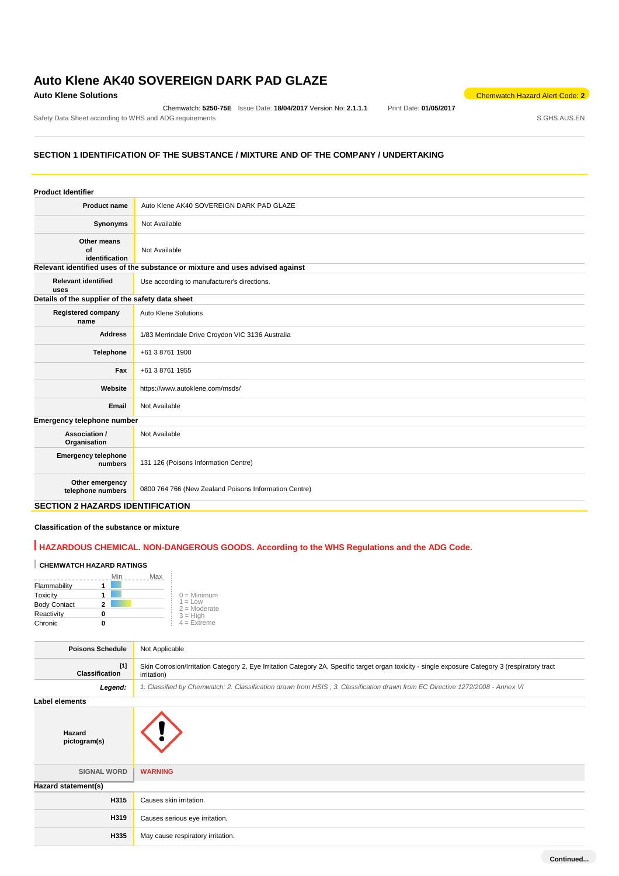# **Auto Klene AK40 SOVEREIGN DARK PAD GLAZE**

Chemwatch: **5250-75E** Issue Date: **18/04/2017** Version No: **2.1.1.1** Print Date: **01/05/2017** Safety Data Sheet according to WHS and ADG requirements **Safety Data Sheet according to WHS** and ADG requirements

**Auto Klene Solutions** Chemwatch Hazard Alert Code: 2<sup>2</sup>

# **SECTION 1 IDENTIFICATION OF THE SUBSTANCE / MIXTURE AND OF THE COMPANY / UNDERTAKING**

| <b>Product Identifier</b>                        |                                                                               |
|--------------------------------------------------|-------------------------------------------------------------------------------|
| <b>Product name</b>                              | Auto Klene AK40 SOVEREIGN DARK PAD GLAZE                                      |
| Synonyms                                         | Not Available                                                                 |
| Other means<br>of<br>identification              | Not Available                                                                 |
|                                                  | Relevant identified uses of the substance or mixture and uses advised against |
| <b>Relevant identified</b><br>uses               | Use according to manufacturer's directions.                                   |
| Details of the supplier of the safety data sheet |                                                                               |
| <b>Registered company</b><br>name                | Auto Klene Solutions                                                          |
| <b>Address</b>                                   | 1/83 Merrindale Drive Croydon VIC 3136 Australia                              |
| Telephone                                        | +61 3 8761 1900                                                               |
| Fax                                              | +61 3 8761 1955                                                               |
| Website                                          | https://www.autoklene.com/msds/                                               |
| Email                                            | Not Available                                                                 |
| Emergency telephone number                       |                                                                               |
| Association /<br>Organisation                    | Not Available                                                                 |
| <b>Emergency telephone</b><br>numbers            | 131 126 (Poisons Information Centre)                                          |
| Other emergency<br>telephone numbers             | 0800 764 766 (New Zealand Poisons Information Centre)                         |

## **SECTION 2 HAZARDS IDENTIFICATION**

### **Classification of the substance or mixture**

# **HAZARDOUS CHEMICAL. NON-DANGEROUS GOODS. According to the WHS Regulations and the ADG Code.**

# **CHEMWATCH HAZARD RATINGS**

|                     | Min | Max |                             |
|---------------------|-----|-----|-----------------------------|
| Flammability        |     |     |                             |
| Toxicity            |     |     | $0 =$ Minimum               |
| <b>Body Contact</b> |     |     | $1 = Low$<br>$2 =$ Moderate |
| Reactivity          |     |     | $3 = High$                  |
| Chronic             |     |     | $4 =$ Extreme               |

| <b>Poisons Schedule</b>        | Not Applicable                                                                                                                                                  |
|--------------------------------|-----------------------------------------------------------------------------------------------------------------------------------------------------------------|
| $[1]$<br><b>Classification</b> | Skin Corrosion/Irritation Category 2, Eye Irritation Category 2A, Specific target organ toxicity - single exposure Category 3 (respiratory tract<br>irritation) |
| Legend:                        | 1. Classified by Chemwatch; 2. Classification drawn from HSIS; 3. Classification drawn from EC Directive 1272/2008 - Annex VI                                   |
| <b>Label elements</b>          |                                                                                                                                                                 |
| Hazard<br>pictogram(s)         |                                                                                                                                                                 |
| <b>SIGNAL WORD</b>             | <b>WARNING</b>                                                                                                                                                  |
| Hazard statement(s)            |                                                                                                                                                                 |
| H315                           | Causes skin irritation.                                                                                                                                         |
| H319                           | Causes serious eye irritation.                                                                                                                                  |
| H335                           | May cause respiratory irritation.                                                                                                                               |
|                                |                                                                                                                                                                 |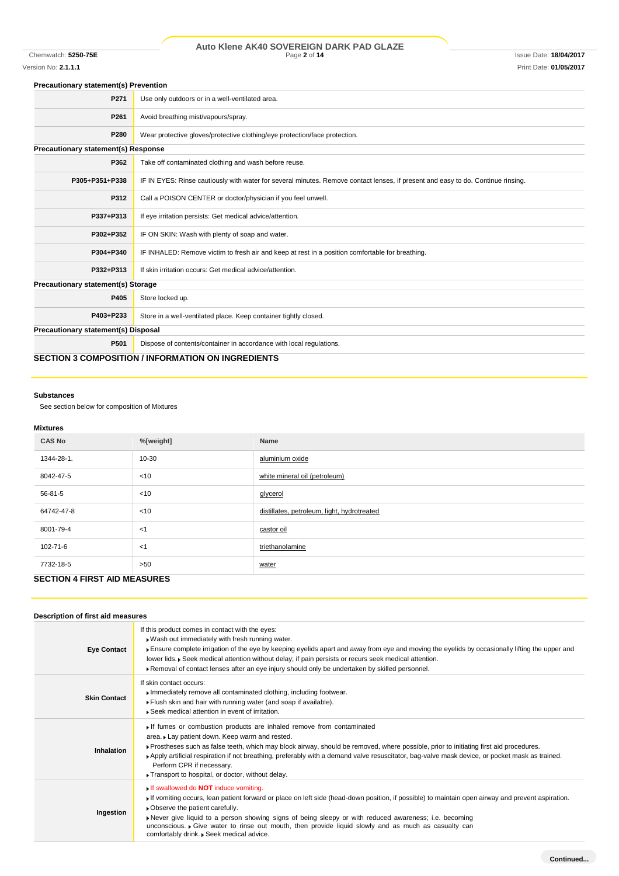# Chemwatch: **5250-75E** Page **2** of **14** Issue Date: **18/04/2017 Auto Klene AK40 SOVEREIGN DARK PAD GLAZE**

# Version No: **2.1.1.1** Print Date: **01/05/2017**

### **Precautionary statement(s) Prevention**

| P271                                       | Use only outdoors or in a well-ventilated area.                                                                                  |
|--------------------------------------------|----------------------------------------------------------------------------------------------------------------------------------|
| P <sub>261</sub>                           | Avoid breathing mist/vapours/spray.                                                                                              |
| P280                                       | Wear protective gloves/protective clothing/eye protection/face protection.                                                       |
| <b>Precautionary statement(s) Response</b> |                                                                                                                                  |
| P362                                       | Take off contaminated clothing and wash before reuse.                                                                            |
| P305+P351+P338                             | IF IN EYES: Rinse cautiously with water for several minutes. Remove contact lenses, if present and easy to do. Continue rinsing. |
| P312                                       | Call a POISON CENTER or doctor/physician if you feel unwell.                                                                     |
| P337+P313                                  | If eye irritation persists: Get medical advice/attention.                                                                        |
| P302+P352                                  | IF ON SKIN: Wash with plenty of soap and water.                                                                                  |
| P304+P340                                  | IF INHALED: Remove victim to fresh air and keep at rest in a position comfortable for breathing.                                 |
| P332+P313                                  | If skin irritation occurs: Get medical advice/attention.                                                                         |
| Precautionary statement(s) Storage         |                                                                                                                                  |
| P405                                       | Store locked up.                                                                                                                 |
| P403+P233                                  | Store in a well-ventilated place. Keep container tightly closed.                                                                 |
| Precautionary statement(s) Disposal        |                                                                                                                                  |
| P501                                       | Dispose of contents/container in accordance with local regulations.                                                              |
|                                            | <b>SECTION 3 COMPOSITION / INFORMATION ON INGREDIENTS</b>                                                                        |

### **Substances**

See section below for composition of Mixtures

# **Mixtures**

| <b>CAS No</b> | %[weight] | Name                                        |
|---------------|-----------|---------------------------------------------|
| 1344-28-1.    | 10-30     | aluminium oxide                             |
| 8042-47-5     | $<$ 10    | white mineral oil (petroleum)               |
| 56-81-5       | $<$ 10    | glycerol                                    |
| 64742-47-8    | $<$ 10    | distillates, petroleum, light, hydrotreated |
| 8001-79-4     | < 1       | castor oil                                  |
| 102-71-6      | < 1       | triethanolamine                             |
| 7732-18-5     | >50       | water                                       |
| ----------    |           |                                             |

# **SECTION 4 FIRST AID MEASURES**

### **Description of first aid measures**

| <b>Eye Contact</b>  | If this product comes in contact with the eyes:<br>. Wash out immediately with fresh running water.<br>Ensure complete irrigation of the eye by keeping eyelids apart and away from eye and moving the eyelids by occasionally lifting the upper and<br>lower lids. ▶ Seek medical attention without delay; if pain persists or recurs seek medical attention.<br>▶ Removal of contact lenses after an eye injury should only be undertaken by skilled personnel.                                 |
|---------------------|---------------------------------------------------------------------------------------------------------------------------------------------------------------------------------------------------------------------------------------------------------------------------------------------------------------------------------------------------------------------------------------------------------------------------------------------------------------------------------------------------|
| <b>Skin Contact</b> | If skin contact occurs:<br>Immediately remove all contaminated clothing, including footwear.<br>Flush skin and hair with running water (and soap if available).<br>▶ Seek medical attention in event of irritation.                                                                                                                                                                                                                                                                               |
| <b>Inhalation</b>   | If fumes or combustion products are inhaled remove from contaminated<br>area. Lay patient down. Keep warm and rested.<br>▶ Prostheses such as false teeth, which may block airway, should be removed, where possible, prior to initiating first aid procedures.<br>Apply artificial respiration if not breathing, preferably with a demand valve resuscitator, bag-valve mask device, or pocket mask as trained.<br>Perform CPR if necessary.<br>Transport to hospital, or doctor, without delay. |
| Ingestion           | If swallowed do <b>NOT</b> induce vomiting.<br>If vomiting occurs, lean patient forward or place on left side (head-down position, if possible) to maintain open airway and prevent aspiration.<br>• Observe the patient carefully.<br>• Never give liquid to a person showing signs of being sleepy or with reduced awareness; i.e. becoming<br>unconscious. • Give water to rinse out mouth, then provide liquid slowly and as much as casualty can<br>comfortably drink. Seek medical advice.  |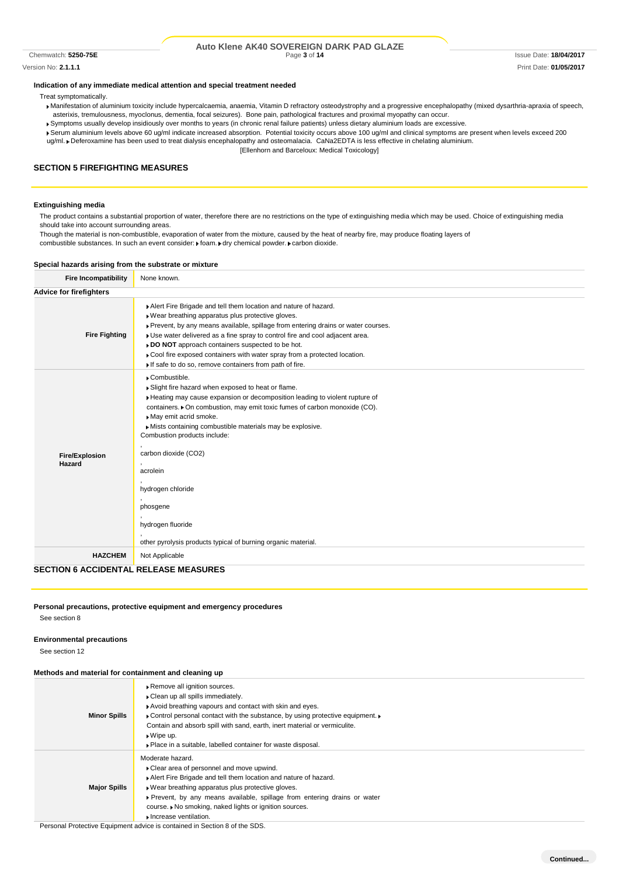#### Chemwatch: 5250-75E **Page 3** of 14 **Page 3** of 14 **Issue Date: 18/04/2017** Issue Date: 18/04/2017 **Auto Klene AK40 SOVEREIGN DARK PAD GLAZE**

Version No: **2.1.1.1** Print Date: **01/05/2017**

#### **Indication of any immediate medical attention and special treatment needed**

Treat symptomatically.

- Manifestation of aluminium toxicity include hypercalcaemia, anaemia, Vitamin D refractory osteodystrophy and a progressive encephalopathy (mixed dysarthria-apraxia of speech, asterixis, tremulousness, myoclonus, dementia, focal seizures). Bone pain, pathological fractures and proximal myopathy can occur.
- Symptoms usually develop insidiously over months to years (in chronic renal failure patients) unless dietary aluminium loads are excessive.
- Serum aluminium levels above 60 ug/ml indicate increased absorption. Potential toxicity occurs above 100 ug/ml and clinical symptoms are present when levels exceed 200 ug/ml. Deferoxamine has been used to treat dialysis encephalopathy and osteomalacia. CaNa2EDTA is less effective in chelating aluminium.
	- [Ellenhorn and Barceloux: Medical Toxicology]

### **SECTION 5 FIREFIGHTING MEASURES**

#### **Extinguishing media**

The product contains a substantial proportion of water, therefore there are no restrictions on the type of extinguishing media which may be used. Choice of extinguishing media should take into account surrounding areas.

Though the material is non-combustible, evaporation of water from the mixture, caused by the heat of nearby fire, may produce floating layers of

combustible substances. In such an event consider:  $\blacktriangleright$  foam.  $\blacktriangleright$  dry chemical powder.  $\blacktriangleright$  carbon dioxide.

#### **Special hazards arising from the substrate or mixture**

| <b>Fire Incompatibility</b>                  | None known.                                                                                                                                                                                                                                                                                                                                                                                                                                                                                                   |
|----------------------------------------------|---------------------------------------------------------------------------------------------------------------------------------------------------------------------------------------------------------------------------------------------------------------------------------------------------------------------------------------------------------------------------------------------------------------------------------------------------------------------------------------------------------------|
| <b>Advice for firefighters</b>               |                                                                                                                                                                                                                                                                                                                                                                                                                                                                                                               |
| <b>Fire Fighting</b>                         | Alert Fire Brigade and tell them location and nature of hazard.<br>Wear breathing apparatus plus protective gloves.<br>▶ Prevent, by any means available, spillage from entering drains or water courses.<br>Use water delivered as a fine spray to control fire and cool adjacent area.<br>DO NOT approach containers suspected to be hot.<br>Cool fire exposed containers with water spray from a protected location.<br>If safe to do so, remove containers from path of fire.                             |
| <b>Fire/Explosion</b><br>Hazard              | Combustible.<br>Slight fire hazard when exposed to heat or flame.<br>Heating may cause expansion or decomposition leading to violent rupture of<br>containers. • On combustion, may emit toxic fumes of carbon monoxide (CO).<br>May emit acrid smoke.<br>Mists containing combustible materials may be explosive.<br>Combustion products include:<br>carbon dioxide (CO2)<br>acrolein<br>hydrogen chloride<br>phosgene<br>hydrogen fluoride<br>other pyrolysis products typical of burning organic material. |
| <b>HAZCHEM</b>                               | Not Applicable                                                                                                                                                                                                                                                                                                                                                                                                                                                                                                |
| <b>SECTION 6 ACCIDENTAL RELEASE MEASURES</b> |                                                                                                                                                                                                                                                                                                                                                                                                                                                                                                               |

#### **Personal precautions, protective equipment and emergency procedures**

See section 8

#### **Environmental precautions**

See section 12

#### **Methods and material for containment and cleaning up**

| <b>Metricus and material for containment and cleaning up</b> |                                                                                                                                                                                                                                                                                                                                                                                  |
|--------------------------------------------------------------|----------------------------------------------------------------------------------------------------------------------------------------------------------------------------------------------------------------------------------------------------------------------------------------------------------------------------------------------------------------------------------|
| <b>Minor Spills</b>                                          | Remove all ignition sources.<br>Clean up all spills immediately.<br>Avoid breathing vapours and contact with skin and eyes.<br>• Control personal contact with the substance, by using protective equipment.<br>Contain and absorb spill with sand, earth, inert material or vermiculite.<br>$\bullet$ Wipe up.<br>• Place in a suitable, labelled container for waste disposal. |
| <b>Major Spills</b>                                          | Moderate hazard.<br>▶ Clear area of personnel and move upwind.<br>Alert Fire Brigade and tell them location and nature of hazard.<br>► Wear breathing apparatus plus protective gloves.<br>▶ Prevent, by any means available, spillage from entering drains or water<br>course. ▶ No smoking, naked lights or ignition sources.<br>Increase ventilation.                         |

Personal Protective Equipment advice is contained in Section 8 of the SDS.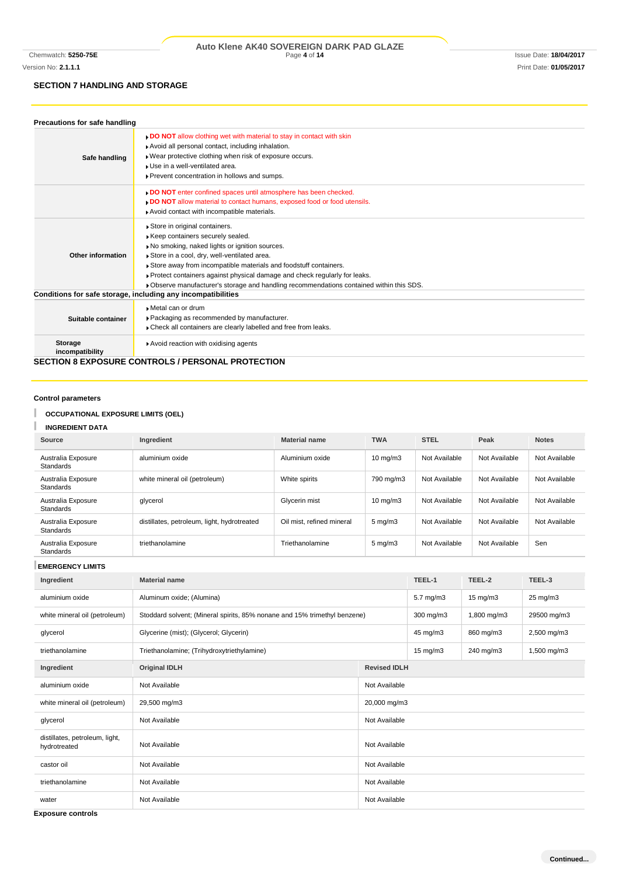# **SECTION 7 HANDLING AND STORAGE**

| Precautions for safe handling     |                                                                                                                                                                                                                                                                                                                                                                                                                  |
|-----------------------------------|------------------------------------------------------------------------------------------------------------------------------------------------------------------------------------------------------------------------------------------------------------------------------------------------------------------------------------------------------------------------------------------------------------------|
| Safe handling                     | <b>DO NOT</b> allow clothing wet with material to stay in contact with skin<br>Avoid all personal contact, including inhalation.<br>Wear protective clothing when risk of exposure occurs.<br>I Use in a well-ventilated area.<br>Prevent concentration in hollows and sumps.                                                                                                                                    |
|                                   | DO NOT enter confined spaces until atmosphere has been checked.<br>. DO NOT allow material to contact humans, exposed food or food utensils.<br>Avoid contact with incompatible materials.                                                                                                                                                                                                                       |
| Other information                 | Store in original containers.<br>Keep containers securely sealed.<br>No smoking, naked lights or ignition sources.<br>Store in a cool, dry, well-ventilated area.<br>Store away from incompatible materials and foodstuff containers.<br>▶ Protect containers against physical damage and check regularly for leaks.<br>▶ Observe manufacturer's storage and handling recommendations contained within this SDS. |
|                                   | Conditions for safe storage, including any incompatibilities                                                                                                                                                                                                                                                                                                                                                     |
| Suitable container                | Metal can or drum<br>▶ Packaging as recommended by manufacturer.<br>Check all containers are clearly labelled and free from leaks.                                                                                                                                                                                                                                                                               |
| <b>Storage</b><br>incompatibility | Avoid reaction with oxidising agents                                                                                                                                                                                                                                                                                                                                                                             |
|                                   | <b>SECTION 8 EXPOSURE CONTROLS / PERSONAL PROTECTION</b>                                                                                                                                                                                                                                                                                                                                                         |

**Control parameters**

#### T **OCCUPATIONAL EXPOSURE LIMITS (OEL)**

I **INGREDIENT DATA**

| Source                                 | Ingredient                                  | <b>Material name</b>      | <b>TWA</b>         | <b>STEL</b>   | Peak          | <b>Notes</b>  |
|----------------------------------------|---------------------------------------------|---------------------------|--------------------|---------------|---------------|---------------|
| Australia Exposure<br><b>Standards</b> | aluminium oxide                             | Aluminium oxide           | $10 \text{ mg/m}$  | Not Available | Not Available | Not Available |
| Australia Exposure<br><b>Standards</b> | white mineral oil (petroleum)               | White spirits             | 790 mg/m3          | Not Available | Not Available | Not Available |
| Australia Exposure<br><b>Standards</b> | glycerol                                    | Glycerin mist             | $10 \text{ mg/m}$  | Not Available | Not Available | Not Available |
| Australia Exposure<br><b>Standards</b> | distillates, petroleum, light, hydrotreated | Oil mist, refined mineral | $5 \text{ mg/m}$ 3 | Not Available | Not Available | Not Available |
| Australia Exposure<br><b>Standards</b> | triethanolamine                             | Triethanolamine           | $5 \text{ mg/m}$ 3 | Not Available | Not Available | Sen           |

**EMERGENCY LIMITS**

| Ingredient                                     | <b>Material name</b>                                                      |                     | TEEL-1               | TEEL-2            | TEEL-3              |
|------------------------------------------------|---------------------------------------------------------------------------|---------------------|----------------------|-------------------|---------------------|
| aluminium oxide                                | Aluminum oxide; (Alumina)                                                 |                     | $5.7 \text{ mg/m}$ 3 | $15 \text{ mg/m}$ | $25 \text{ mg/m}$ 3 |
| white mineral oil (petroleum)                  | Stoddard solvent; (Mineral spirits, 85% nonane and 15% trimethyl benzene) |                     | 300 mg/m3            | 1,800 mg/m3       | 29500 mg/m3         |
| glycerol                                       | Glycerine (mist); (Glycerol; Glycerin)                                    |                     | 45 mg/m3             | 860 mg/m3         | 2,500 mg/m3         |
| triethanolamine                                | Triethanolamine; (Trihydroxytriethylamine)                                |                     | $15 \text{ mg/m}$    | 240 mg/m3         | 1,500 mg/m3         |
| Ingredient                                     | <b>Original IDLH</b>                                                      | <b>Revised IDLH</b> |                      |                   |                     |
| aluminium oxide                                | Not Available                                                             | Not Available       |                      |                   |                     |
| white mineral oil (petroleum)                  | 29,500 mg/m3                                                              | 20,000 mg/m3        |                      |                   |                     |
| glycerol                                       | Not Available                                                             | Not Available       |                      |                   |                     |
| distillates, petroleum, light,<br>hydrotreated | Not Available                                                             | Not Available       |                      |                   |                     |
| castor oil                                     | Not Available                                                             | Not Available       |                      |                   |                     |
| triethanolamine                                | Not Available                                                             | Not Available       |                      |                   |                     |
| water                                          | Not Available                                                             | Not Available       |                      |                   |                     |

**Exposure controls**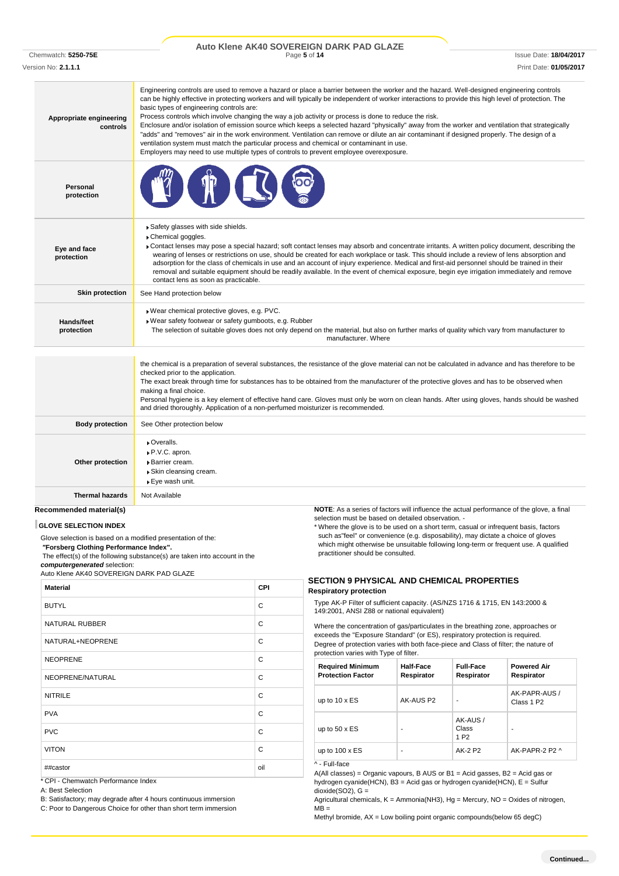#### Chemwatch: 5250-75E **Page 5** of 14 **Page 5** of 14 **Issue Date: 18/04/2017** Issue Date: 18/04/2017 **Auto Klene AK40 SOVEREIGN DARK PAD GLAZE**

Version No: **2.1.1.1** Print Date: **01/05/2017**

| Appropriate engineering<br>controls | Engineering controls are used to remove a hazard or place a barrier between the worker and the hazard. Well-designed engineering controls<br>can be highly effective in protecting workers and will typically be independent of worker interactions to provide this high level of protection. The<br>basic types of engineering controls are:<br>Process controls which involve changing the way a job activity or process is done to reduce the risk.<br>Enclosure and/or isolation of emission source which keeps a selected hazard "physically" away from the worker and ventilation that strategically<br>"adds" and "removes" air in the work environment. Ventilation can remove or dilute an air contaminant if designed properly. The design of a<br>ventilation system must match the particular process and chemical or contaminant in use.<br>Employers may need to use multiple types of controls to prevent employee overexposure. |
|-------------------------------------|-------------------------------------------------------------------------------------------------------------------------------------------------------------------------------------------------------------------------------------------------------------------------------------------------------------------------------------------------------------------------------------------------------------------------------------------------------------------------------------------------------------------------------------------------------------------------------------------------------------------------------------------------------------------------------------------------------------------------------------------------------------------------------------------------------------------------------------------------------------------------------------------------------------------------------------------------|
| Personal<br>protection              |                                                                                                                                                                                                                                                                                                                                                                                                                                                                                                                                                                                                                                                                                                                                                                                                                                                                                                                                                 |
| Eye and face<br>protection          | Safety glasses with side shields.<br>Chemical goggles.<br>▶ Contact lenses may pose a special hazard; soft contact lenses may absorb and concentrate irritants. A written policy document, describing the<br>wearing of lenses or restrictions on use, should be created for each workplace or task. This should include a review of lens absorption and<br>adsorption for the class of chemicals in use and an account of injury experience. Medical and first-aid personnel should be trained in their<br>removal and suitable equipment should be readily available. In the event of chemical exposure, begin eye irrigation immediately and remove<br>contact lens as soon as practicable.                                                                                                                                                                                                                                                  |
| <b>Skin protection</b>              | See Hand protection below                                                                                                                                                                                                                                                                                                                                                                                                                                                                                                                                                                                                                                                                                                                                                                                                                                                                                                                       |
| Hands/feet<br>protection            | Wear chemical protective gloves, e.g. PVC.<br>▶ Wear safety footwear or safety gumboots, e.g. Rubber<br>The selection of suitable gloves does not only depend on the material, but also on further marks of quality which vary from manufacturer to<br>manufacturer. Where                                                                                                                                                                                                                                                                                                                                                                                                                                                                                                                                                                                                                                                                      |
|                                     | the chemical is a preparation of several substances, the resistance of the glove material can not be calculated in advance and has therefore to be<br>checked prior to the application.<br>The exact break through time for substances has to be obtained from the manufacturer of the protective gloves and has to be observed when<br>making a final choice.<br>Personal hygiene is a key element of effective hand care. Gloves must only be worn on clean hands. After using gloves, hands should be washed<br>and dried thoroughly. Application of a non-perfumed moisturizer is recommended.                                                                                                                                                                                                                                                                                                                                              |
| <b>Body protection</b>              | See Other protection below                                                                                                                                                                                                                                                                                                                                                                                                                                                                                                                                                                                                                                                                                                                                                                                                                                                                                                                      |
| Other protection                    | ▶ Overalls.<br>▶ P.V.C. apron.<br>Barrier cream.<br>Skin cleansing cream.<br>▶ Eye wash unit.                                                                                                                                                                                                                                                                                                                                                                                                                                                                                                                                                                                                                                                                                                                                                                                                                                                   |
| <b>Thermal hazards</b>              | Not Available                                                                                                                                                                                                                                                                                                                                                                                                                                                                                                                                                                                                                                                                                                                                                                                                                                                                                                                                   |
| Recommended material(s)             | <b>NOTE:</b> As a series of factors will influence the actual performance of the glove, a final                                                                                                                                                                                                                                                                                                                                                                                                                                                                                                                                                                                                                                                                                                                                                                                                                                                 |

### **GLOVE SELECTION INDEX**

Glove selection is based on a modified presentation of the:

*"***Forsberg Clothing Performance Index".**

The effect(s) of the following substance(s) are taken into account in the *computergenerated* selection:

Auto Klene AK40 SOVEREIGN DARK PAD GLAZE

| <b>Material</b>       | <b>CPI</b> |
|-----------------------|------------|
| <b>BUTYL</b>          | C          |
| <b>NATURAL RUBBER</b> | C          |
| NATURAL+NEOPRENE      | C          |
| <b>NEOPRENE</b>       | C          |
| NEOPRENE/NATURAL      | C          |
| <b>NITRILE</b>        | C          |
| <b>PVA</b>            | C          |
| <b>PVC</b>            | C          |
| <b>VITON</b>          | C          |
| ##castor              | oil        |

\* CPI - Chemwatch Performance Index

A: Best Selection

B: Satisfactory; may degrade after 4 hours continuous immersion

C: Poor to Dangerous Choice for other than short term immersion

selection must be based on detailed observation. -

\* Where the glove is to be used on a short term, casual or infrequent basis, factors such as"feel" or convenience (e.g. disposability), may dictate a choice of gloves which might otherwise be unsuitable following long-term or frequent use. A qualified practitioner should be consulted.

#### **SECTION 9 PHYSICAL AND CHEMICAL PROPERTIES Respiratory protection**

Type AK-P Filter of sufficient capacity. (AS/NZS 1716 & 1715, EN 143:2000 & 149:2001, ANSI Z88 or national equivalent)

Where the concentration of gas/particulates in the breathing zone, approaches or exceeds the "Exposure Standard" (or ES), respiratory protection is required. Degree of protection varies with both face-piece and Class of filter; the nature of protection varies with Type of filter.

| <b>Required Minimum</b><br><b>Protection Factor</b> | Half-Face<br>Respirator | <b>Full-Face</b><br>Respirator       | <b>Powered Air</b><br>Respirator        |
|-----------------------------------------------------|-------------------------|--------------------------------------|-----------------------------------------|
| up to $10 \times ES$                                | AK-AUS P2               | ٠                                    | AK-PAPR-AUS /<br>Class 1 P <sub>2</sub> |
| up to $50 \times ES$                                |                         | AK-AUS/<br>Class<br>1 P <sub>2</sub> |                                         |
| up to $100 \times ES$                               |                         | AK-2 P2                              | AK-PAPR-2 P2 ^                          |

^ - Full-face

A(All classes) = Organic vapours, B AUS or B1 = Acid gasses, B2 = Acid gas or hydrogen cyanide(HCN), B3 = Acid gas or hydrogen cyanide(HCN), E = Sulfur  $dioxide(SO2)$ , G =

Agricultural chemicals,  $K =$  Ammonia(NH3), Hg = Mercury, NO = Oxides of nitrogen,  $MB =$ 

Methyl bromide, AX = Low boiling point organic compounds(below 65 degC)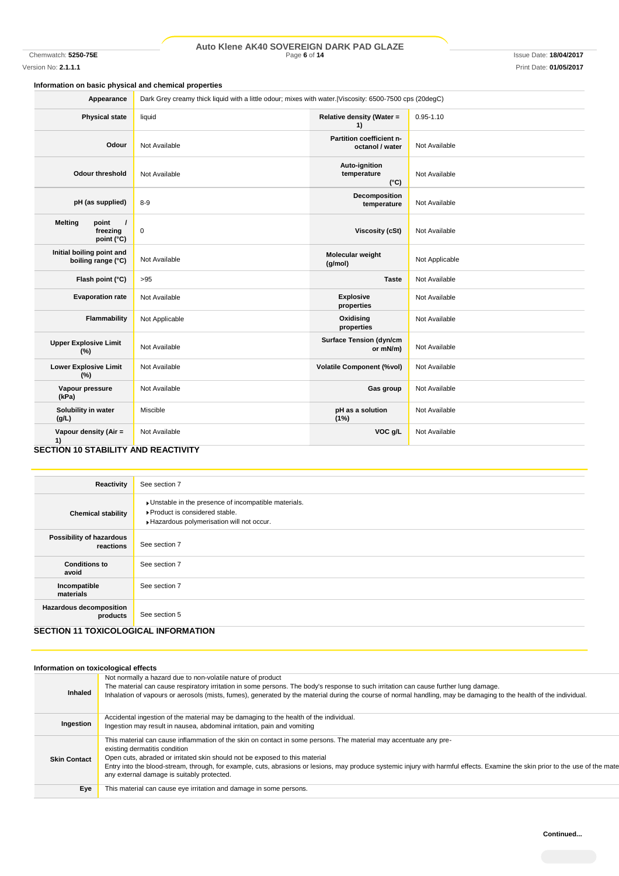# Chemwatch: **5250-75E** Page **6** of **14** Issue Date: **18/04/2017 Auto Klene AK40 SOVEREIGN DARK PAD GLAZE**

Version No: **2.1.1.1** Print Date: **01/05/2017**

# **Information on basic physical and chemical properties**

| Appearance                                                         | Dark Grey creamy thick liquid with a little odour; mixes with water. Viscosity: 6500-7500 cps (20degC) |                                               |                |
|--------------------------------------------------------------------|--------------------------------------------------------------------------------------------------------|-----------------------------------------------|----------------|
| <b>Physical state</b>                                              | liquid                                                                                                 | Relative density (Water =<br>1)               | $0.95 - 1.10$  |
| Odour                                                              | Not Available                                                                                          | Partition coefficient n-<br>octanol / water   | Not Available  |
| <b>Odour threshold</b>                                             | Not Available                                                                                          | Auto-ignition<br>temperature<br>$(^{\circ}C)$ | Not Available  |
| pH (as supplied)                                                   | $8 - 9$                                                                                                | Decomposition<br>temperature                  | Not Available  |
| <b>Melting</b><br>point<br>$\prime$<br>freezing<br>point (°C)      | $\pmb{0}$                                                                                              | Viscosity (cSt)                               | Not Available  |
| Initial boiling point and<br>boiling range (°C)                    | Not Available                                                                                          | Molecular weight<br>(g/mol)                   | Not Applicable |
| Flash point (°C)                                                   | >95                                                                                                    | <b>Taste</b>                                  | Not Available  |
| <b>Evaporation rate</b>                                            | Not Available                                                                                          | <b>Explosive</b><br>properties                | Not Available  |
| <b>Flammability</b>                                                | Not Applicable                                                                                         | Oxidising<br>properties                       | Not Available  |
| <b>Upper Explosive Limit</b><br>(%)                                | Not Available                                                                                          | <b>Surface Tension (dyn/cm</b><br>or mN/m)    | Not Available  |
| <b>Lower Explosive Limit</b><br>(%)                                | Not Available                                                                                          | <b>Volatile Component (%vol)</b>              | Not Available  |
| Vapour pressure<br>(kPa)                                           | Not Available                                                                                          | Gas group                                     | Not Available  |
| Solubility in water<br>(g/L)                                       | Miscible                                                                                               | pH as a solution<br>(1%)                      | Not Available  |
| Vapour density (Air =<br>1)<br>SECTION 10 STARILITY AND REACTIVITY | Not Available                                                                                          | VOC g/L                                       | Not Available  |

#### **SECTION 10 STABILITY AND REACTIVITY**

| Reactivity                                                                         | See section 7                                                                                                                      |
|------------------------------------------------------------------------------------|------------------------------------------------------------------------------------------------------------------------------------|
| <b>Chemical stability</b>                                                          | Unstable in the presence of incompatible materials.<br>▶ Product is considered stable.<br>Hazardous polymerisation will not occur. |
| Possibility of hazardous<br>reactions                                              | See section 7                                                                                                                      |
| <b>Conditions to</b><br>avoid                                                      | See section 7                                                                                                                      |
| Incompatible<br>materials                                                          | See section 7                                                                                                                      |
| <b>Hazardous decomposition</b><br>products<br>SECTION 11 TOXICOLOGICAL INFORMATION | See section 5                                                                                                                      |

### **SECTION 11 TOXICOLOGICAL INFORMATION**

|                     | Information on toxicological effects                                                                                                                                                                                                                                                                                                                                                                                                                              |
|---------------------|-------------------------------------------------------------------------------------------------------------------------------------------------------------------------------------------------------------------------------------------------------------------------------------------------------------------------------------------------------------------------------------------------------------------------------------------------------------------|
| <b>Inhaled</b>      | Not normally a hazard due to non-volatile nature of product<br>The material can cause respiratory irritation in some persons. The body's response to such irritation can cause further lung damage.<br>Inhalation of vapours or aerosols (mists, fumes), generated by the material during the course of normal handling, may be damaging to the health of the individual.                                                                                         |
| Ingestion           | Accidental ingestion of the material may be damaging to the health of the individual.<br>Ingestion may result in nausea, abdominal irritation, pain and vomiting                                                                                                                                                                                                                                                                                                  |
| <b>Skin Contact</b> | This material can cause inflammation of the skin on contact in some persons. The material may accentuate any pre-<br>existing dermatitis condition<br>Open cuts, abraded or irritated skin should not be exposed to this material<br>Entry into the blood-stream, through, for example, cuts, abrasions or lesions, may produce systemic injury with harmful effects. Examine the skin prior to the use of the mate<br>any external damage is suitably protected. |
| Eye                 | This material can cause eye irritation and damage in some persons.                                                                                                                                                                                                                                                                                                                                                                                                |
|                     |                                                                                                                                                                                                                                                                                                                                                                                                                                                                   |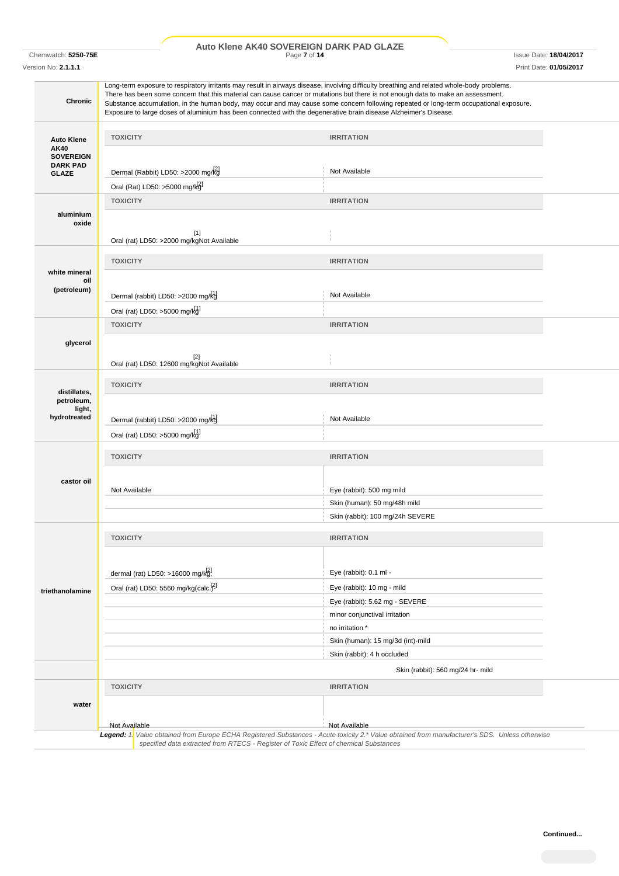# Chemwatch: **5250-75E** Page **7** of **14** Issue Date: **18/04/2017 Auto Klene AK40 SOVEREIGN DARK PAD GLAZE**

Version No: **2.1.1.1** Print Date: **01/05/2017**

| <b>Chronic</b>                                                   |                                                  |                                                    | Long-term exposure to respiratory irritants may result in airways disease, involving difficulty breathing and related whole-body problems.<br>There has been some concern that this material can cause cancer or mutations but there is not enough data to make an assessment.<br>Substance accumulation, in the human body, may occur and may cause some concern following repeated or long-term occupational exposure.<br>Exposure to large doses of aluminium has been connected with the degenerative brain disease Alzheimer's Disease. |  |
|------------------------------------------------------------------|--------------------------------------------------|----------------------------------------------------|----------------------------------------------------------------------------------------------------------------------------------------------------------------------------------------------------------------------------------------------------------------------------------------------------------------------------------------------------------------------------------------------------------------------------------------------------------------------------------------------------------------------------------------------|--|
|                                                                  | <b>TOXICITY</b>                                  |                                                    | <b>IRRITATION</b>                                                                                                                                                                                                                                                                                                                                                                                                                                                                                                                            |  |
| <b>Auto Klene</b><br>AK40<br><b>SOVEREIGN</b><br><b>DARK PAD</b> |                                                  | Dermal (Rabbit) LD50: >2000 mg/kg                  | Not Available                                                                                                                                                                                                                                                                                                                                                                                                                                                                                                                                |  |
| <b>GLAZE</b>                                                     |                                                  |                                                    |                                                                                                                                                                                                                                                                                                                                                                                                                                                                                                                                              |  |
|                                                                  | Oral (Rat) LD50: >5000 mg/kgl<br><b>TOXICITY</b> |                                                    | <b>IRRITATION</b>                                                                                                                                                                                                                                                                                                                                                                                                                                                                                                                            |  |
| aluminium<br>oxide                                               |                                                  | $[1]$<br>Oral (rat) LD50: >2000 mg/kgNot Available |                                                                                                                                                                                                                                                                                                                                                                                                                                                                                                                                              |  |
|                                                                  | <b>TOXICITY</b>                                  |                                                    | <b>IRRITATION</b>                                                                                                                                                                                                                                                                                                                                                                                                                                                                                                                            |  |
| white mineral                                                    |                                                  |                                                    |                                                                                                                                                                                                                                                                                                                                                                                                                                                                                                                                              |  |
| oil                                                              |                                                  |                                                    |                                                                                                                                                                                                                                                                                                                                                                                                                                                                                                                                              |  |
| (petroleum)                                                      |                                                  | Dermal (rabbit) LD50: >2000 mg/kg                  | Not Available                                                                                                                                                                                                                                                                                                                                                                                                                                                                                                                                |  |
|                                                                  | Oral (rat) LD50: >5000 mg/kg]                    |                                                    |                                                                                                                                                                                                                                                                                                                                                                                                                                                                                                                                              |  |
|                                                                  | <b>TOXICITY</b>                                  |                                                    | <b>IRRITATION</b>                                                                                                                                                                                                                                                                                                                                                                                                                                                                                                                            |  |
| glycerol                                                         |                                                  |                                                    |                                                                                                                                                                                                                                                                                                                                                                                                                                                                                                                                              |  |
|                                                                  |                                                  | $[2]$                                              |                                                                                                                                                                                                                                                                                                                                                                                                                                                                                                                                              |  |
|                                                                  |                                                  | Oral (rat) LD50: 12600 mg/kgNot Available          |                                                                                                                                                                                                                                                                                                                                                                                                                                                                                                                                              |  |
|                                                                  | <b>TOXICITY</b>                                  |                                                    | <b>IRRITATION</b>                                                                                                                                                                                                                                                                                                                                                                                                                                                                                                                            |  |
| distillates,                                                     |                                                  |                                                    |                                                                                                                                                                                                                                                                                                                                                                                                                                                                                                                                              |  |
| petroleum,<br>light,                                             |                                                  |                                                    |                                                                                                                                                                                                                                                                                                                                                                                                                                                                                                                                              |  |
| hydrotreated                                                     |                                                  | Dermal (rabbit) LD50: >2000 mg/kg                  | Not Available                                                                                                                                                                                                                                                                                                                                                                                                                                                                                                                                |  |
|                                                                  | Oral (rat) LD50: >5000 mg/kg                     |                                                    |                                                                                                                                                                                                                                                                                                                                                                                                                                                                                                                                              |  |
|                                                                  | <b>TOXICITY</b>                                  |                                                    |                                                                                                                                                                                                                                                                                                                                                                                                                                                                                                                                              |  |
|                                                                  |                                                  |                                                    | <b>IRRITATION</b>                                                                                                                                                                                                                                                                                                                                                                                                                                                                                                                            |  |
| castor oil                                                       |                                                  |                                                    |                                                                                                                                                                                                                                                                                                                                                                                                                                                                                                                                              |  |
|                                                                  | Not Available                                    |                                                    | Eye (rabbit): 500 mg mild                                                                                                                                                                                                                                                                                                                                                                                                                                                                                                                    |  |
|                                                                  |                                                  |                                                    | Skin (human): 50 mg/48h mild                                                                                                                                                                                                                                                                                                                                                                                                                                                                                                                 |  |
|                                                                  |                                                  |                                                    | Skin (rabbit): 100 mg/24h SEVERE                                                                                                                                                                                                                                                                                                                                                                                                                                                                                                             |  |
|                                                                  | <b>TOXICITY</b>                                  |                                                    | <b>IRRITATION</b>                                                                                                                                                                                                                                                                                                                                                                                                                                                                                                                            |  |
|                                                                  |                                                  |                                                    |                                                                                                                                                                                                                                                                                                                                                                                                                                                                                                                                              |  |
|                                                                  |                                                  |                                                    |                                                                                                                                                                                                                                                                                                                                                                                                                                                                                                                                              |  |
|                                                                  |                                                  | dermal (rat) LD50: >16000 mg/kg!                   | Eye (rabbit): 0.1 ml -                                                                                                                                                                                                                                                                                                                                                                                                                                                                                                                       |  |
| triethanolamine                                                  |                                                  | Oral (rat) LD50: 5560 mg/kg(calc. <sup>[2]</sup>   | Eye (rabbit): 10 mg - mild                                                                                                                                                                                                                                                                                                                                                                                                                                                                                                                   |  |
|                                                                  |                                                  |                                                    | Eye (rabbit): 5.62 mg - SEVERE                                                                                                                                                                                                                                                                                                                                                                                                                                                                                                               |  |
|                                                                  |                                                  |                                                    | minor conjunctival irritation                                                                                                                                                                                                                                                                                                                                                                                                                                                                                                                |  |
|                                                                  |                                                  |                                                    | no irritation *                                                                                                                                                                                                                                                                                                                                                                                                                                                                                                                              |  |
|                                                                  |                                                  |                                                    | Skin (human): 15 mg/3d (int)-mild                                                                                                                                                                                                                                                                                                                                                                                                                                                                                                            |  |
|                                                                  |                                                  |                                                    | Skin (rabbit): 4 h occluded                                                                                                                                                                                                                                                                                                                                                                                                                                                                                                                  |  |
|                                                                  |                                                  |                                                    | Skin (rabbit): 560 mg/24 hr- mild                                                                                                                                                                                                                                                                                                                                                                                                                                                                                                            |  |
|                                                                  | <b>TOXICITY</b>                                  |                                                    | <b>IRRITATION</b>                                                                                                                                                                                                                                                                                                                                                                                                                                                                                                                            |  |
| water                                                            |                                                  |                                                    |                                                                                                                                                                                                                                                                                                                                                                                                                                                                                                                                              |  |
|                                                                  |                                                  |                                                    |                                                                                                                                                                                                                                                                                                                                                                                                                                                                                                                                              |  |
|                                                                  | Not Available                                    |                                                    | Not Available<br>Legend: 1. Value obtained from Europe ECHA Registered Substances - Acute toxicity 2.* Value obtained from manufacturer's SDS. Unless otherwise                                                                                                                                                                                                                                                                                                                                                                              |  |
|                                                                  |                                                  |                                                    | specified data extracted from RTECS - Register of Toxic Effect of chemical Substances                                                                                                                                                                                                                                                                                                                                                                                                                                                        |  |
|                                                                  |                                                  |                                                    |                                                                                                                                                                                                                                                                                                                                                                                                                                                                                                                                              |  |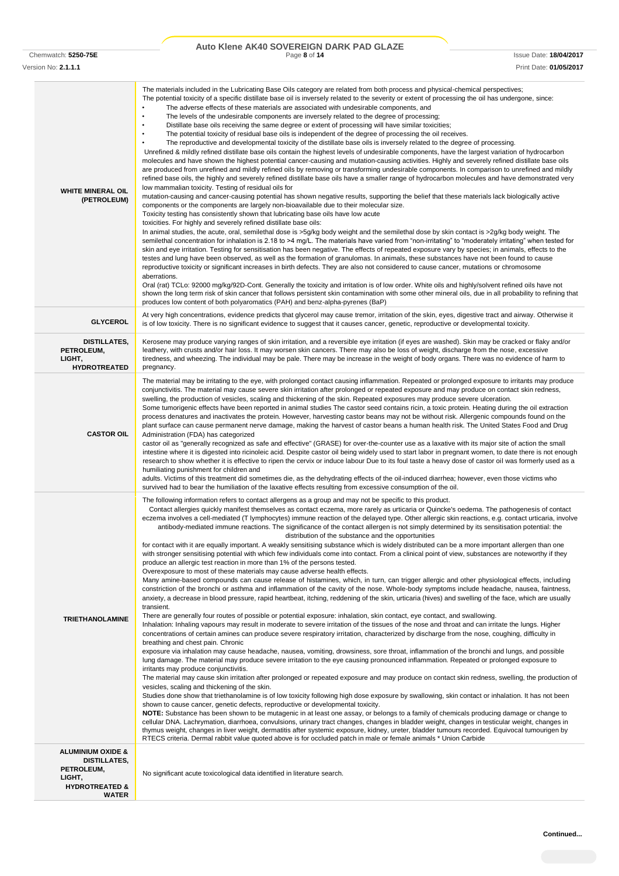# Chemwatch: **5250-75E** Page **8** of **14** Issue Date: **18/04/2017 Auto Klene AK40 SOVEREIGN DARK PAD GLAZE**

| Version No: 2.1.1.1                                                                                               | Print Date: 01/05/2017                                                                                                                                                                                                                                                                                                                                                                                                                                                                                                                                                                                                                                                                                                                                                                                                                                                                                                                                                                                                                                                                                                                                                                                                                                                                                                                                                                                                                                                                                                                                                                                                                                                                                                                                                                                                                                                                                                                                                                                                                                                                                                                                                                                                                                                                                                                                                                                                                                                                                                                                                                                                                                                                                                                                                                                                                                                                                                                                                                                                                                                                                                                                                                                                                                                                                                                                                          |
|-------------------------------------------------------------------------------------------------------------------|---------------------------------------------------------------------------------------------------------------------------------------------------------------------------------------------------------------------------------------------------------------------------------------------------------------------------------------------------------------------------------------------------------------------------------------------------------------------------------------------------------------------------------------------------------------------------------------------------------------------------------------------------------------------------------------------------------------------------------------------------------------------------------------------------------------------------------------------------------------------------------------------------------------------------------------------------------------------------------------------------------------------------------------------------------------------------------------------------------------------------------------------------------------------------------------------------------------------------------------------------------------------------------------------------------------------------------------------------------------------------------------------------------------------------------------------------------------------------------------------------------------------------------------------------------------------------------------------------------------------------------------------------------------------------------------------------------------------------------------------------------------------------------------------------------------------------------------------------------------------------------------------------------------------------------------------------------------------------------------------------------------------------------------------------------------------------------------------------------------------------------------------------------------------------------------------------------------------------------------------------------------------------------------------------------------------------------------------------------------------------------------------------------------------------------------------------------------------------------------------------------------------------------------------------------------------------------------------------------------------------------------------------------------------------------------------------------------------------------------------------------------------------------------------------------------------------------------------------------------------------------------------------------------------------------------------------------------------------------------------------------------------------------------------------------------------------------------------------------------------------------------------------------------------------------------------------------------------------------------------------------------------------------------------------------------------------------------------------------------------------------|
| <b>WHITE MINERAL OIL</b><br>(PETROLEUM)                                                                           | The materials included in the Lubricating Base Oils category are related from both process and physical-chemical perspectives;<br>The potential toxicity of a specific distillate base oil is inversely related to the severity or extent of processing the oil has undergone, since:<br>The adverse effects of these materials are associated with undesirable components, and<br>The levels of the undesirable components are inversely related to the degree of processing;<br>$\bullet$<br>Distillate base oils receiving the same degree or extent of processing will have similar toxicities;<br>$\bullet$<br>The potential toxicity of residual base oils is independent of the degree of processing the oil receives.<br>The reproductive and developmental toxicity of the distillate base oils is inversely related to the degree of processing.<br>Unrefined & mildly refined distillate base oils contain the highest levels of undesirable components, have the largest variation of hydrocarbon<br>molecules and have shown the highest potential cancer-causing and mutation-causing activities. Highly and severely refined distillate base oils<br>are produced from unrefined and mildly refined oils by removing or transforming undesirable components. In comparison to unrefined and mildly<br>refined base oils, the highly and severely refined distillate base oils have a smaller range of hydrocarbon molecules and have demonstrated very<br>low mammalian toxicity. Testing of residual oils for<br>mutation-causing and cancer-causing potential has shown negative results, supporting the belief that these materials lack biologically active<br>components or the components are largely non-bioavailable due to their molecular size.<br>Toxicity testing has consistently shown that lubricating base oils have low acute<br>toxicities. For highly and severely refined distillate base oils:<br>In animal studies, the acute, oral, semilethal dose is >5g/kg body weight and the semilethal dose by skin contact is >2g/kg body weight. The<br>semilethal concentration for inhalation is 2.18 to >4 mg/L. The materials have varied from "non-irritating" to "moderately irritating" when tested for<br>skin and eye irritation. Testing for sensitisation has been negative. The effects of repeated exposure vary by species; in animals, effects to the<br>testes and lung have been observed, as well as the formation of granulomas. In animals, these substances have not been found to cause<br>reproductive toxicity or significant increases in birth defects. They are also not considered to cause cancer, mutations or chromosome<br>aberrations.<br>Oral (rat) TCLo: 92000 mg/kg/92D-Cont. Generally the toxicity and irritation is of low order. White oils and highly/solvent refined oils have not<br>shown the long term risk of skin cancer that follows persistent skin contamination with some other mineral oils, due in all probability to refining that<br>produces low content of both polyaromatics (PAH) and benz-alpha-pyrenes (BaP)                                                                                                                                                                                                                                                                         |
| <b>GLYCEROL</b>                                                                                                   | At very high concentrations, evidence predicts that glycerol may cause tremor, irritation of the skin, eyes, digestive tract and airway. Otherwise it<br>is of low toxicity. There is no significant evidence to suggest that it causes cancer, genetic, reproductive or developmental toxicity.                                                                                                                                                                                                                                                                                                                                                                                                                                                                                                                                                                                                                                                                                                                                                                                                                                                                                                                                                                                                                                                                                                                                                                                                                                                                                                                                                                                                                                                                                                                                                                                                                                                                                                                                                                                                                                                                                                                                                                                                                                                                                                                                                                                                                                                                                                                                                                                                                                                                                                                                                                                                                                                                                                                                                                                                                                                                                                                                                                                                                                                                                |
| DISTILLATES,<br>PETROLEUM,<br>LIGHT,<br><b>HYDROTREATED</b>                                                       | Kerosene may produce varying ranges of skin irritation, and a reversible eye irritation (if eyes are washed). Skin may be cracked or flaky and/or<br>leathery, with crusts and/or hair loss. It may worsen skin cancers. There may also be loss of weight, discharge from the nose, excessive<br>tiredness, and wheezing. The individual may be pale. There may be increase in the weight of body organs. There was no evidence of harm to<br>pregnancy.                                                                                                                                                                                                                                                                                                                                                                                                                                                                                                                                                                                                                                                                                                                                                                                                                                                                                                                                                                                                                                                                                                                                                                                                                                                                                                                                                                                                                                                                                                                                                                                                                                                                                                                                                                                                                                                                                                                                                                                                                                                                                                                                                                                                                                                                                                                                                                                                                                                                                                                                                                                                                                                                                                                                                                                                                                                                                                                        |
| <b>CASTOR OIL</b>                                                                                                 | The material may be irritating to the eye, with prolonged contact causing inflammation. Repeated or prolonged exposure to irritants may produce<br>conjunctivitis. The material may cause severe skin irritation after prolonged or repeated exposure and may produce on contact skin redness,<br>swelling, the production of vesicles, scaling and thickening of the skin. Repeated exposures may produce severe ulceration.<br>Some tumorigenic effects have been reported in animal studies The castor seed contains ricin, a toxic protein. Heating during the oil extraction<br>process denatures and inactivates the protein. However, harvesting castor beans may not be without risk. Allergenic compounds found on the<br>plant surface can cause permanent nerve damage, making the harvest of castor beans a human health risk. The United States Food and Drug<br>Administration (FDA) has categorized<br>castor oil as "generally recognized as safe and effective" (GRASE) for over-the-counter use as a laxative with its major site of action the small<br>intestine where it is digested into ricinoleic acid. Despite castor oil being widely used to start labor in pregnant women, to date there is not enough<br>research to show whether it is effective to ripen the cervix or induce labour Due to its foul taste a heavy dose of castor oil was formerly used as a<br>humiliating punishment for children and<br>adults. Victims of this treatment did sometimes die, as the dehydrating effects of the oil-induced diarrhea; however, even those victims who<br>survived had to bear the humiliation of the laxative effects resulting from excessive consumption of the oil.                                                                                                                                                                                                                                                                                                                                                                                                                                                                                                                                                                                                                                                                                                                                                                                                                                                                                                                                                                                                                                                                                                                                                                                                                                                                                                                                                                                                                                                                                                                                                                                                                                                                         |
| <b>TRIETHANOLAMINE</b>                                                                                            | The following information refers to contact allergens as a group and may not be specific to this product.<br>Contact allergies quickly manifest themselves as contact eczema, more rarely as urticaria or Quincke's oedema. The pathogenesis of contact<br>eczema involves a cell-mediated (T lymphocytes) immune reaction of the delayed type. Other allergic skin reactions, e.g. contact urticaria, involve<br>antibody-mediated immune reactions. The significance of the contact allergen is not simply determined by its sensitisation potential: the<br>distribution of the substance and the opportunities<br>for contact with it are equally important. A weakly sensitising substance which is widely distributed can be a more important allergen than one<br>with stronger sensitising potential with which few individuals come into contact. From a clinical point of view, substances are noteworthy if they<br>produce an allergic test reaction in more than 1% of the persons tested.<br>Overexposure to most of these materials may cause adverse health effects.<br>Many amine-based compounds can cause release of histamines, which, in turn, can trigger allergic and other physiological effects, including<br>constriction of the bronchi or asthma and inflammation of the cavity of the nose. Whole-body symptoms include headache, nausea, faintness,<br>anxiety, a decrease in blood pressure, rapid heartbeat, itching, reddening of the skin, urticaria (hives) and swelling of the face, which are usually<br>transient.<br>There are generally four routes of possible or potential exposure: inhalation, skin contact, eye contact, and swallowing.<br>Inhalation: Inhaling vapours may result in moderate to severe irritation of the tissues of the nose and throat and can irritate the lungs. Higher<br>concentrations of certain amines can produce severe respiratory irritation, characterized by discharge from the nose, coughing, difficulty in<br>breathing and chest pain. Chronic<br>exposure via inhalation may cause headache, nausea, vomiting, drowsiness, sore throat, inflammation of the bronchi and lungs, and possible<br>lung damage. The material may produce severe irritation to the eye causing pronounced inflammation. Repeated or prolonged exposure to<br>irritants may produce conjunctivitis.<br>The material may cause skin irritation after prolonged or repeated exposure and may produce on contact skin redness, swelling, the production of<br>vesicles, scaling and thickening of the skin.<br>Studies done show that triethanolamine is of low toxicity following high dose exposure by swallowing, skin contact or inhalation. It has not been<br>shown to cause cancer, genetic defects, reproductive or developmental toxicity.<br>NOTE: Substance has been shown to be mutagenic in at least one assay, or belongs to a family of chemicals producing damage or change to<br>cellular DNA. Lachrymation, diarrhoea, convulsions, urinary tract changes, changes in bladder weight, changes in testicular weight, changes in<br>thymus weight, changes in liver weight, dermatitis after systemic exposure, kidney, ureter, bladder tumours recorded. Equivocal tumourigen by<br>RTECS criteria. Dermal rabbit value quoted above is for occluded patch in male or female animals * Union Carbide |
| <b>ALUMINIUM OXIDE &amp;</b><br>DISTILLATES,<br>PETROLEUM,<br>LIGHT,<br><b>HYDROTREATED &amp;</b><br><b>WATER</b> | No significant acute toxicological data identified in literature search.                                                                                                                                                                                                                                                                                                                                                                                                                                                                                                                                                                                                                                                                                                                                                                                                                                                                                                                                                                                                                                                                                                                                                                                                                                                                                                                                                                                                                                                                                                                                                                                                                                                                                                                                                                                                                                                                                                                                                                                                                                                                                                                                                                                                                                                                                                                                                                                                                                                                                                                                                                                                                                                                                                                                                                                                                                                                                                                                                                                                                                                                                                                                                                                                                                                                                                        |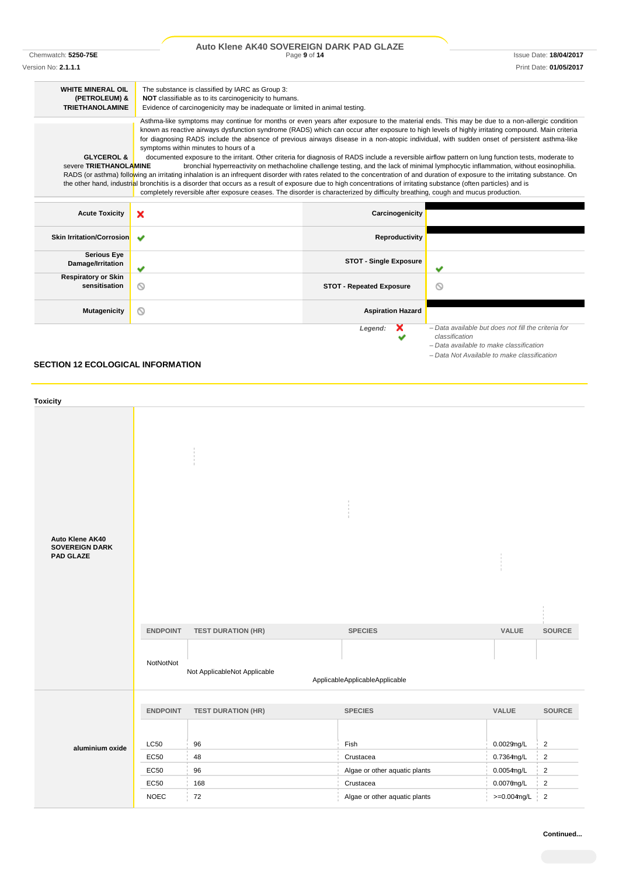|                                                 | Auto Klene AK40 SOVEREIGN DARK PAD GLAZE                                                                                                                                                                                                                                                                                                                                                                                                                                                                                                                                                                                                                                                                                                                                                                                                                                                                                                                                                                                                                                                                                                     |                                 |                                                                                                                                      |
|-------------------------------------------------|----------------------------------------------------------------------------------------------------------------------------------------------------------------------------------------------------------------------------------------------------------------------------------------------------------------------------------------------------------------------------------------------------------------------------------------------------------------------------------------------------------------------------------------------------------------------------------------------------------------------------------------------------------------------------------------------------------------------------------------------------------------------------------------------------------------------------------------------------------------------------------------------------------------------------------------------------------------------------------------------------------------------------------------------------------------------------------------------------------------------------------------------|---------------------------------|--------------------------------------------------------------------------------------------------------------------------------------|
| Chemwatch: 5250-75E                             |                                                                                                                                                                                                                                                                                                                                                                                                                                                                                                                                                                                                                                                                                                                                                                                                                                                                                                                                                                                                                                                                                                                                              | Page 9 of 14                    | <b>Issue Date: 18/04/2017</b>                                                                                                        |
| Version No: 2.1.1.1                             |                                                                                                                                                                                                                                                                                                                                                                                                                                                                                                                                                                                                                                                                                                                                                                                                                                                                                                                                                                                                                                                                                                                                              |                                 | Print Date: 01/05/2017                                                                                                               |
| <b>WHITE MINERAL OIL</b><br>(PETROLEUM) &       | The substance is classified by IARC as Group 3:<br>NOT classifiable as to its carcinogenicity to humans.                                                                                                                                                                                                                                                                                                                                                                                                                                                                                                                                                                                                                                                                                                                                                                                                                                                                                                                                                                                                                                     |                                 |                                                                                                                                      |
| <b>TRIETHANOLAMINE</b>                          | Evidence of carcinogenicity may be inadequate or limited in animal testing.                                                                                                                                                                                                                                                                                                                                                                                                                                                                                                                                                                                                                                                                                                                                                                                                                                                                                                                                                                                                                                                                  |                                 |                                                                                                                                      |
| <b>GLYCEROL &amp;</b><br>severe TRIETHANOLAMINE | Asthma-like symptoms may continue for months or even years after exposure to the material ends. This may be due to a non-allergic condition<br>known as reactive airways dysfunction syndrome (RADS) which can occur after exposure to high levels of highly irritating compound. Main criteria<br>for diagnosing RADS include the absence of previous airways disease in a non-atopic individual, with sudden onset of persistent asthma-like<br>symptoms within minutes to hours of a<br>documented exposure to the irritant. Other criteria for diagnosis of RADS include a reversible airflow pattern on lung function tests, moderate to<br>RADS (or asthma) following an irritating inhalation is an infrequent disorder with rates related to the concentration of and duration of exposure to the irritating substance. On<br>the other hand, industrial bronchitis is a disorder that occurs as a result of exposure due to high concentrations of irritating substance (often particles) and is<br>completely reversible after exposure ceases. The disorder is characterized by difficulty breathing, cough and mucus production. |                                 | bronchial hyperreactivity on methacholine challenge testing, and the lack of minimal lymphocytic inflammation, without eosinophilia. |
| <b>Acute Toxicity</b>                           | ×                                                                                                                                                                                                                                                                                                                                                                                                                                                                                                                                                                                                                                                                                                                                                                                                                                                                                                                                                                                                                                                                                                                                            | Carcinogenicity                 |                                                                                                                                      |
| <b>Skin Irritation/Corrosion</b>                | $\overline{\phantom{a}}$                                                                                                                                                                                                                                                                                                                                                                                                                                                                                                                                                                                                                                                                                                                                                                                                                                                                                                                                                                                                                                                                                                                     | Reproductivity                  |                                                                                                                                      |
| <b>Serious Eye</b><br>Damage/Irritation         | ✔                                                                                                                                                                                                                                                                                                                                                                                                                                                                                                                                                                                                                                                                                                                                                                                                                                                                                                                                                                                                                                                                                                                                            | <b>STOT - Single Exposure</b>   |                                                                                                                                      |
| <b>Respiratory or Skin</b><br>sensitisation     | ⊚                                                                                                                                                                                                                                                                                                                                                                                                                                                                                                                                                                                                                                                                                                                                                                                                                                                                                                                                                                                                                                                                                                                                            | <b>STOT - Repeated Exposure</b> | ⋒                                                                                                                                    |
| <b>Mutagenicity</b>                             | Q                                                                                                                                                                                                                                                                                                                                                                                                                                                                                                                                                                                                                                                                                                                                                                                                                                                                                                                                                                                                                                                                                                                                            | <b>Aspiration Hazard</b>        |                                                                                                                                      |
|                                                 |                                                                                                                                                                                                                                                                                                                                                                                                                                                                                                                                                                                                                                                                                                                                                                                                                                                                                                                                                                                                                                                                                                                                              | Legend:<br>×                    | - Data available but does not fill the criteria for<br>classification<br>Both and the billion and continuation of the state of       |

# **SECTION 12 ECOLOGICAL INFORMATION**

| <b>Toxicity</b>                                              |                              |                                                           |                                                  |                |                |
|--------------------------------------------------------------|------------------------------|-----------------------------------------------------------|--------------------------------------------------|----------------|----------------|
| Auto Klene AK40<br><b>SOVEREIGN DARK</b><br><b>PAD GLAZE</b> | <b>ENDPOINT</b><br>NotNotNot | <b>TEST DURATION (HR)</b><br>Not ApplicableNot Applicable | <b>SPECIES</b><br>ApplicableApplicableApplicable | VALUE          | <b>SOURCE</b>  |
|                                                              | <b>ENDPOINT</b>              | <b>TEST DURATION (HR)</b>                                 | <b>SPECIES</b>                                   | VALUE          | SOURCE         |
|                                                              | <b>LC50</b>                  | 96                                                        | Fish                                             | 0.0029mg/L     | $\overline{2}$ |
| aluminium oxide                                              | EC50                         | 48                                                        | Crustacea                                        | 0.7364mg/L     | $\overline{2}$ |
|                                                              | <b>EC50</b>                  | 96                                                        | Algae or other aquatic plants                    | 0.0054mg/L     | $\overline{2}$ |
|                                                              | EC50                         | 168                                                       | Crustacea                                        | $0.0076$ ng/L  | $\overline{2}$ |
|                                                              | <b>NOEC</b>                  | 72                                                        | Algae or other aquatic plants                    | $>=0.004$ mg/L | $\overline{c}$ |

*– Data available to make classification – Data Not Available to make classification*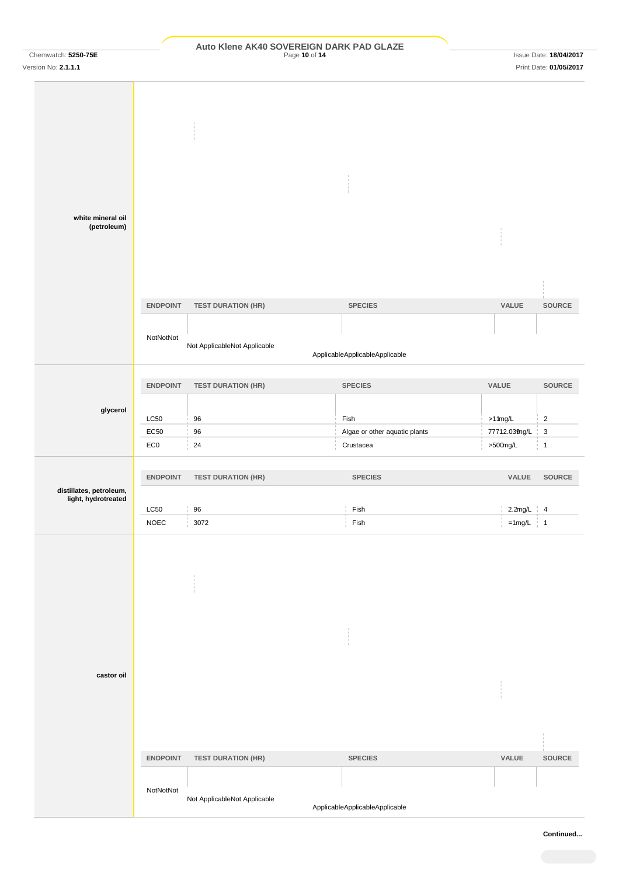# Chemwatch: **5250-75E Page 10 of 14 Page 10 of 14 PAD GLAZE Page 10 of 14 Page 10 of 14 Issue Date: 18/04/2017**

| white mineral oil                              |                     |                              |                                |               |              |
|------------------------------------------------|---------------------|------------------------------|--------------------------------|---------------|--------------|
| (petroleum)                                    |                     |                              |                                |               |              |
|                                                | <b>ENDPOINT</b>     | <b>TEST DURATION (HR)</b>    | <b>SPECIES</b>                 | VALUE         | SOURCE       |
|                                                |                     |                              |                                |               |              |
|                                                | NotNotNot           | Not ApplicableNot Applicable | ApplicableApplicableApplicable |               |              |
|                                                | <b>ENDPOINT</b>     | <b>TEST DURATION (HR)</b>    | <b>SPECIES</b>                 | VALUE         | SOURCE       |
|                                                |                     |                              |                                |               |              |
| glycerol                                       | <b>LC50</b>         | 96                           | Fish                           | $>11$ mg/L    | $\sqrt{2}$   |
|                                                | EC50                | 96                           | Algae or other aquatic plants  | 77712.039ng/L | $\sqrt{3}$   |
|                                                | EC <sub>0</sub>     | 24                           | Crustacea                      | $>500$ mg/L   | $\mathbf{1}$ |
|                                                | <b>ENDPOINT</b>     | <b>TEST DURATION (HR)</b>    | <b>SPECIES</b>                 | VALUE         | SOURCE       |
| distillates, petroleum,<br>light, hydrotreated |                     |                              |                                |               |              |
|                                                | LC50<br><b>NOEC</b> | 96<br>3072                   | Fish<br>${\sf Fish}$           | $2.2$ mg/L 4  |              |
|                                                |                     |                              |                                | $=1$ mg/L   1 |              |
|                                                |                     |                              |                                |               |              |
|                                                |                     |                              |                                |               |              |
| castor oil                                     |                     |                              |                                |               |              |
|                                                | <b>ENDPOINT</b>     | <b>TEST DURATION (HR)</b>    | <b>SPECIES</b>                 | VALUE         | SOURCE       |
|                                                |                     |                              |                                |               |              |
|                                                | NotNotNot           | Not ApplicableNot Applicable |                                |               |              |
|                                                |                     |                              | ApplicableApplicableApplicable |               |              |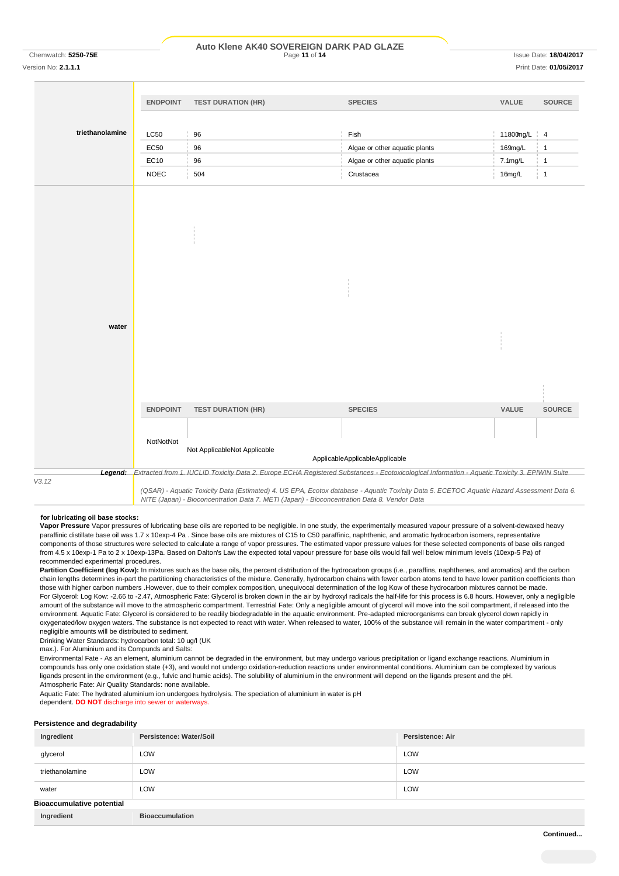#### Chemwatch: **5250-75E** Page **11** of **14** Issue Date: **18/04/2017 Auto Klene AK40 SOVEREIGN DARK PAD GLAZE**

Version No: **2.1.1.1** Print Date: **01/05/2017**

|                 | <b>ENDPOINT</b> | <b>TEST DURATION (HR)</b>                                                                                                                             | <b>SPECIES</b>                 | VALUE     | <b>SOURCE</b>   |
|-----------------|-----------------|-------------------------------------------------------------------------------------------------------------------------------------------------------|--------------------------------|-----------|-----------------|
|                 |                 |                                                                                                                                                       |                                |           |                 |
| triethanolamine | <b>LC50</b>     | 96                                                                                                                                                    | Fish                           | 11800mg/L | $\frac{1}{2}$ 4 |
|                 | EC50            | 96                                                                                                                                                    | Algae or other aquatic plants  | 169mg/L   | $\mathbf{1}$    |
|                 | EC10            | 96                                                                                                                                                    | Algae or other aquatic plants  | 7.1mg/L   | $\mathbf{1}$    |
|                 | <b>NOEC</b>     | 504                                                                                                                                                   | Crustacea                      | 16mg/L    | $\frac{1}{2}$ 1 |
|                 |                 |                                                                                                                                                       |                                |           |                 |
|                 |                 |                                                                                                                                                       |                                |           |                 |
|                 |                 |                                                                                                                                                       |                                |           |                 |
| water           |                 |                                                                                                                                                       |                                |           |                 |
|                 | <b>ENDPOINT</b> |                                                                                                                                                       | <b>SPECIES</b>                 | VALUE     | <b>SOURCE</b>   |
|                 |                 | <b>TEST DURATION (HR)</b>                                                                                                                             |                                |           |                 |
|                 | NotNotNot       | Not ApplicableNot Applicable                                                                                                                          | ApplicableApplicableApplicable |           |                 |
|                 |                 | Legend: Extracted from 1. IUCLID Toxicity Data 2. Europe ECHA Registered Substances - Ecotoxicological Information - Aquatic Toxicity 3. EPIWIN Suite |                                |           |                 |
| V3.12           |                 | (QSAR) - Aquatic Toxicity Data (Estimated) 4. US EPA, Ecotox database - Aquatic Toxicity Data 5. ECETOC Aquatic Hazard Assessment Data 6.             |                                |           |                 |

#### **for lubricating oil base stocks:**

**Vapor Pressure** Vapor pressures of lubricating base oils are reported to be negligible. In one study, the experimentally measured vapour pressure of a solvent-dewaxed heavy paraffinic distillate base oil was 1.7 x 10exp-4 Pa . Since base oils are mixtures of C15 to C50 paraffinic, naphthenic, and aromatic hydrocarbon isomers, representative components of those structures were selected to calculate a range of vapor pressures. The estimated vapor pressure values for these selected components of base oils ranged from 4.5 x 10exp-1 Pa to 2 x 10exp-13Pa. Based on Dalton's Law the expected total vapour pressure for base oils would fall well below minimum levels (10exp-5 Pa) of recommended experimental procedures.

*NITE (Japan) - Bioconcentration Data 7. METI (Japan) - Bioconcentration Data 8. Vendor Data*

Partition Coefficient (log Kow): In mixtures such as the base oils, the percent distribution of the hydrocarbon groups (i.e., paraffins, naphthenes, and aromatics) and the carbon chain lengths determines in-part the partitioning characteristics of the mixture. Generally, hydrocarbon chains with fewer carbon atoms tend to have lower partition coefficients than those with higher carbon numbers .However, due to their complex composition, unequivocal determination of the log Kow of these hydrocarbon mixtures cannot be made. For Glycerol: Log Kow: -2.66 to -2.47, Atmospheric Fate: Glycerol is broken down in the air by hydroxyl radicals the half-life for this process is 6.8 hours. However, only a negligible amount of the substance will move to the atmospheric compartment. Terrestrial Fate: Only a negligible amount of glycerol will move into the soil compartment, if released into the environment. Aquatic Fate: Glycerol is considered to be readily biodegradable in the aquatic environment. Pre-adapted microorganisms can break glycerol down rapidly in oxygenated/low oxygen waters. The substance is not expected to react with water. When released to water, 100% of the substance will remain in the water compartment - only negligible amounts will be distributed to sediment.

Drinking Water Standards: hydrocarbon total: 10 ug/l (UK

max.). For Aluminium and its Compunds and Salts:

Environmental Fate - As an element, aluminium cannot be degraded in the environment, but may undergo various precipitation or ligand exchange reactions. Aluminium in compounds has only one oxidation state (+3), and would not undergo oxidation-reduction reactions under environmental conditions. Aluminium can be complexed by various ligands present in the environment (e.g., fulvic and humic acids). The solubility of aluminium in the environment will depend on the ligands present and the pH. Atmospheric Fate: Air Quality Standards: none available.

Aquatic Fate: The hydrated aluminium ion undergoes hydrolysis. The speciation of aluminium in water is pH

dependent. **DO NOT** discharge into sewer or waterways.

#### **Persistence and degradability**

| Ingredient                       | Persistence: Water/Soil | <b>Persistence: Air</b> |
|----------------------------------|-------------------------|-------------------------|
| glycerol                         | LOW                     | LOW                     |
| triethanolamine                  | LOW                     | LOW                     |
| water                            | LOW                     | LOW                     |
| <b>Bioaccumulative potential</b> |                         |                         |
| Ingredient                       | <b>Bioaccumulation</b>  |                         |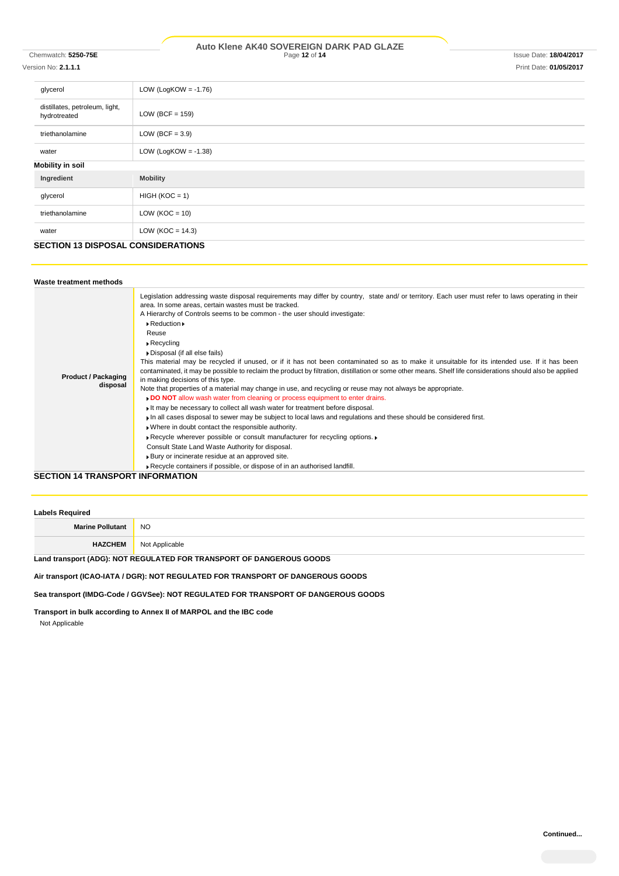#### Chemwatch: **5250-75E** Page **12** of **14** Issue Date: **18/04/2017 Auto Klene AK40 SOVEREIGN DARK PAD GLAZE**

# Version No: **2.1.1.1** Print Date: **01/05/2017**

| glycerol                                       | LOW (LogKOW = $-1.76$ ) |  |
|------------------------------------------------|-------------------------|--|
| distillates, petroleum, light,<br>hydrotreated | LOW (BCF = $159$ )      |  |
| triethanolamine                                | LOW (BCF = $3.9$ )      |  |
| water                                          | LOW (LogKOW = $-1.38$ ) |  |
| <b>Mobility in soil</b>                        |                         |  |
| Ingredient                                     | <b>Mobility</b>         |  |
| glycerol                                       | $HIGH (KOC = 1)$        |  |
| triethanolamine                                | $LOW (KOC = 10)$        |  |
| water                                          | LOW ( $KOC = 14.3$ )    |  |

# **SECTION 13 DISPOSAL CONSIDERATIONS**

| Waste treatment methods                 |                                                                                                                                                                                                                                                                                                                                                                                                                                                                                                                                                                                                                                                                                                                                                                                                                                                                                                                                                                                                                                                                                                                                                                                                                                                                                                                                                                                                                                                                                                  |
|-----------------------------------------|--------------------------------------------------------------------------------------------------------------------------------------------------------------------------------------------------------------------------------------------------------------------------------------------------------------------------------------------------------------------------------------------------------------------------------------------------------------------------------------------------------------------------------------------------------------------------------------------------------------------------------------------------------------------------------------------------------------------------------------------------------------------------------------------------------------------------------------------------------------------------------------------------------------------------------------------------------------------------------------------------------------------------------------------------------------------------------------------------------------------------------------------------------------------------------------------------------------------------------------------------------------------------------------------------------------------------------------------------------------------------------------------------------------------------------------------------------------------------------------------------|
| <b>Product / Packaging</b><br>disposal  | Legislation addressing waste disposal requirements may differ by country, state and/ or territory. Each user must refer to laws operating in their<br>area. In some areas, certain wastes must be tracked.<br>A Hierarchy of Controls seems to be common - the user should investigate:<br>$\triangleright$ Reduction $\triangleright$<br>Reuse<br>$\triangleright$ Recycling<br>Disposal (if all else fails)<br>This material may be recycled if unused, or if it has not been contaminated so as to make it unsuitable for its intended use. If it has been<br>contaminated, it may be possible to reclaim the product by filtration, distillation or some other means. Shelf life considerations should also be applied<br>in making decisions of this type.<br>Note that properties of a material may change in use, and recycling or reuse may not always be appropriate.<br>DO NOT allow wash water from cleaning or process equipment to enter drains.<br>If may be necessary to collect all wash water for treatment before disposal.<br>I in all cases disposal to sewer may be subject to local laws and regulations and these should be considered first.<br>. Where in doubt contact the responsible authority.<br>▶ Recycle wherever possible or consult manufacturer for recycling options. ▶<br>Consult State Land Waste Authority for disposal.<br>▶ Bury or incinerate residue at an approved site.<br>Recycle containers if possible, or dispose of in an authorised landfill. |
| <b>SECTION 14 TRANSPORT INFORMATION</b> |                                                                                                                                                                                                                                                                                                                                                                                                                                                                                                                                                                                                                                                                                                                                                                                                                                                                                                                                                                                                                                                                                                                                                                                                                                                                                                                                                                                                                                                                                                  |

| <b>Labels Required</b>  |                |  |
|-------------------------|----------------|--|
| <b>Marine Pollutant</b> | <b>NO</b>      |  |
| <b>HAZCHEM</b>          | Not Applicable |  |

## **Land transport (ADG): NOT REGULATED FOR TRANSPORT OF DANGEROUS GOODS**

# **Air transport (ICAO-IATA / DGR): NOT REGULATED FOR TRANSPORT OF DANGEROUS GOODS**

**Sea transport (IMDG-Code / GGVSee): NOT REGULATED FOR TRANSPORT OF DANGEROUS GOODS**

**Transport in bulk according to Annex II of MARPOL and the IBC code**

Not Applicable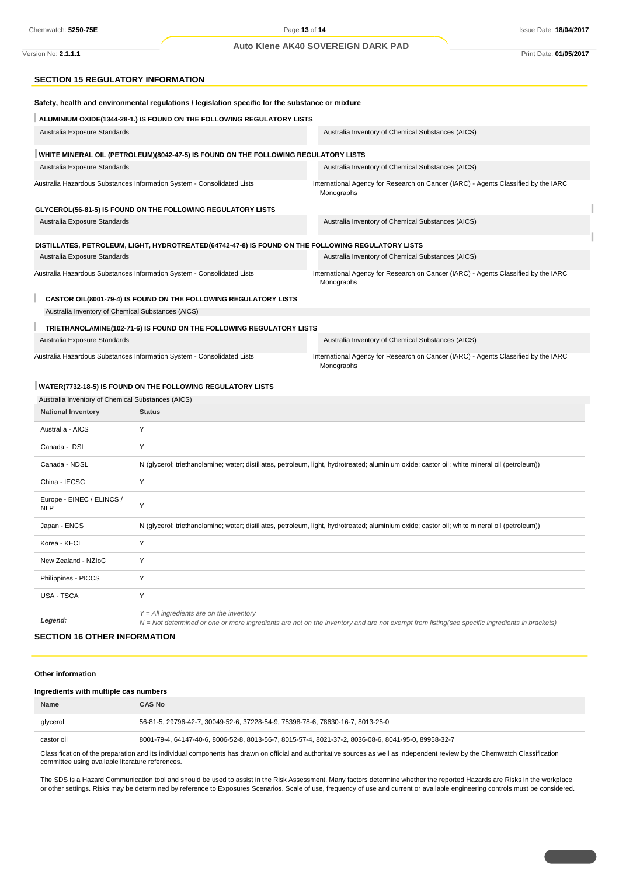#### **Auto Klene AK40 SOVEREIGN DARK PAD**

Version No: **2.1.1.1** Print Date: **01/05/2017**

### **SECTION 15 REGULATORY INFORMATION**

|                                                                        | Safety, health and environmental regulations / legislation specific for the substance or mixture                                                                                           |                                                                                                  |  |  |  |
|------------------------------------------------------------------------|--------------------------------------------------------------------------------------------------------------------------------------------------------------------------------------------|--------------------------------------------------------------------------------------------------|--|--|--|
|                                                                        | ALUMINIUM OXIDE(1344-28-1.) IS FOUND ON THE FOLLOWING REGULATORY LISTS                                                                                                                     |                                                                                                  |  |  |  |
| Australia Exposure Standards                                           |                                                                                                                                                                                            | Australia Inventory of Chemical Substances (AICS)                                                |  |  |  |
|                                                                        | WHITE MINERAL OIL (PETROLEUM)(8042-47-5) IS FOUND ON THE FOLLOWING REGULATORY LISTS                                                                                                        |                                                                                                  |  |  |  |
| Australia Exposure Standards                                           |                                                                                                                                                                                            | Australia Inventory of Chemical Substances (AICS)                                                |  |  |  |
| Australia Hazardous Substances Information System - Consolidated Lists |                                                                                                                                                                                            | International Agency for Research on Cancer (IARC) - Agents Classified by the IARC<br>Monographs |  |  |  |
|                                                                        | GLYCEROL(56-81-5) IS FOUND ON THE FOLLOWING REGULATORY LISTS                                                                                                                               |                                                                                                  |  |  |  |
| Australia Exposure Standards                                           |                                                                                                                                                                                            | Australia Inventory of Chemical Substances (AICS)                                                |  |  |  |
|                                                                        | DISTILLATES, PETROLEUM, LIGHT, HYDROTREATED(64742-47-8) IS FOUND ON THE FOLLOWING REGULATORY LISTS                                                                                         |                                                                                                  |  |  |  |
| Australia Exposure Standards                                           |                                                                                                                                                                                            | Australia Inventory of Chemical Substances (AICS)                                                |  |  |  |
| Australia Hazardous Substances Information System - Consolidated Lists |                                                                                                                                                                                            | International Agency for Research on Cancer (IARC) - Agents Classified by the IARC<br>Monographs |  |  |  |
|                                                                        | CASTOR OIL(8001-79-4) IS FOUND ON THE FOLLOWING REGULATORY LISTS                                                                                                                           |                                                                                                  |  |  |  |
| Australia Inventory of Chemical Substances (AICS)                      |                                                                                                                                                                                            |                                                                                                  |  |  |  |
|                                                                        | TRIETHANOLAMINE(102-71-6) IS FOUND ON THE FOLLOWING REGULATORY LISTS                                                                                                                       |                                                                                                  |  |  |  |
| Australia Exposure Standards                                           |                                                                                                                                                                                            | Australia Inventory of Chemical Substances (AICS)                                                |  |  |  |
| Australia Hazardous Substances Information System - Consolidated Lists |                                                                                                                                                                                            | International Agency for Research on Cancer (IARC) - Agents Classified by the IARC<br>Monographs |  |  |  |
|                                                                        | WATER(7732-18-5) IS FOUND ON THE FOLLOWING REGULATORY LISTS                                                                                                                                |                                                                                                  |  |  |  |
| Australia Inventory of Chemical Substances (AICS)                      |                                                                                                                                                                                            |                                                                                                  |  |  |  |
| <b>National Inventory</b>                                              | <b>Status</b>                                                                                                                                                                              |                                                                                                  |  |  |  |
| Australia - AICS                                                       | Y                                                                                                                                                                                          |                                                                                                  |  |  |  |
| Canada - DSL                                                           | Y                                                                                                                                                                                          |                                                                                                  |  |  |  |
| Canada - NDSL                                                          | N (glycerol; triethanolamine; water; distillates, petroleum, light, hydrotreated; aluminium oxide; castor oil; white mineral oil (petroleum))                                              |                                                                                                  |  |  |  |
| China - IECSC                                                          | Y                                                                                                                                                                                          |                                                                                                  |  |  |  |
| Europe - EINEC / ELINCS /<br><b>NLP</b>                                | Y                                                                                                                                                                                          |                                                                                                  |  |  |  |
| Japan - ENCS                                                           | N (glycerol; triethanolamine; water; distillates, petroleum, light, hydrotreated; aluminium oxide; castor oil; white mineral oil (petroleum))                                              |                                                                                                  |  |  |  |
| Korea - KECI                                                           | Y                                                                                                                                                                                          |                                                                                                  |  |  |  |
| New Zealand - NZloC                                                    | Y                                                                                                                                                                                          |                                                                                                  |  |  |  |
| Philippines - PICCS                                                    | Y                                                                                                                                                                                          |                                                                                                  |  |  |  |
| USA - TSCA                                                             | Y                                                                                                                                                                                          |                                                                                                  |  |  |  |
| Legend:                                                                | $Y = All$ ingredients are on the inventory<br>N = Not determined or one or more ingredients are not on the inventory and are not exempt from listing(see specific ingredients in brackets) |                                                                                                  |  |  |  |
| <b>SECTION 16 OTHER INFORMATION</b>                                    |                                                                                                                                                                                            |                                                                                                  |  |  |  |

#### **Other information**

#### **Ingredients with multiple cas numbers**

| <b>Name</b>                                                                                                                                                                   | CAS No                                                                                              |  |
|-------------------------------------------------------------------------------------------------------------------------------------------------------------------------------|-----------------------------------------------------------------------------------------------------|--|
| glycerol                                                                                                                                                                      | 56-81-5, 29796-42-7, 30049-52-6, 37228-54-9, 75398-78-6, 78630-16-7, 8013-25-0                      |  |
| castor oil                                                                                                                                                                    | 8001-79-4, 64147-40-6, 8006-52-8, 8013-56-7, 8015-57-4, 8021-37-2, 8036-08-6, 8041-95-0, 89958-32-7 |  |
| Classification of the proporation and its individual companyors has drown an official and outboritative courses as well as independent review by the Chamustab Classification |                                                                                                     |  |

ation of the preparation and its individual components has drawn on official and authoritative sources as well as independent review by the Chemwatch Classification committee using available literature references.

The SDS is a Hazard Communication tool and should be used to assist in the Risk Assessment. Many factors determine whether the reported Hazards are Risks in the workplace or other settings. Risks may be determined by reference to Exposures Scenarios. Scale of use, frequency of use and current or available engineering controls must be considered.